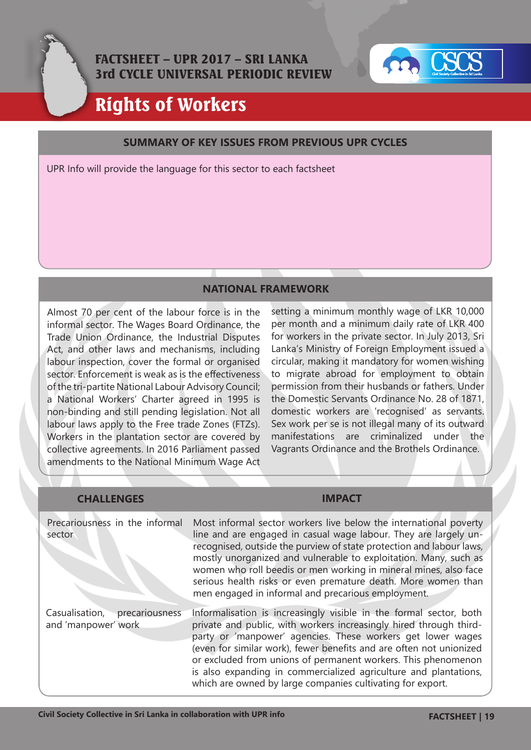



# Rights of Workers

#### **SUMMARY OF KEY ISSUES FROM PREVIOUS UPR CYCLES**

UPR Info will provide the language for this sector to each factsheet

#### **NATIONAL FRAMEWORK**

Almost 70 per cent of the labour force is in the informal sector. The Wages Board Ordinance, the Trade Union Ordinance, the Industrial Disputes Act, and other laws and mechanisms, including labour inspection, cover the formal or organised sector. Enforcement is weak as is the effectiveness of the tri-partite National Labour Advisory Council; a National Workers' Charter agreed in 1995 is non-binding and still pending legislation. Not all labour laws apply to the Free trade Zones (FTZs). Workers in the plantation sector are covered by collective agreements. In 2016 Parliament passed amendments to the National Minimum Wage Act

setting a minimum monthly wage of LKR 10,000 per month and a minimum daily rate of LKR 400 for workers in the private sector. In July 2013, Sri Lanka's Ministry of Foreign Employment issued a circular, making it mandatory for women wishing to migrate abroad for employment to obtain permission from their husbands or fathers. Under the Domestic Servants Ordinance No. 28 of 1871, domestic workers are 'recognised' as servants. Sex work per se is not illegal many of its outward manifestations are criminalized under the Vagrants Ordinance and the Brothels Ordinance.

| <b>CHALLENGES</b>                                       |                                                                                                                                                                                                                                                                                                                                                                                                                                                                                   |
|---------------------------------------------------------|-----------------------------------------------------------------------------------------------------------------------------------------------------------------------------------------------------------------------------------------------------------------------------------------------------------------------------------------------------------------------------------------------------------------------------------------------------------------------------------|
| Precariousness in the informal<br>sector                | Most informal sector workers live below the international poverty<br>line and are engaged in casual wage labour. They are largely un-<br>recognised, outside the purview of state protection and labour laws,<br>mostly unorganized and vulnerable to exploitation. Many, such as<br>women who roll beedis or men working in mineral mines, also face<br>serious health risks or even premature death. More women than<br>men engaged in informal and precarious employment.      |
| Casualisation,<br>precariousness<br>and 'manpower' work | Informalisation is increasingly visible in the formal sector, both<br>private and public, with workers increasingly hired through third-<br>party or 'manpower' agencies. These workers get lower wages<br>(even for similar work), fewer benefits and are often not unionized<br>or excluded from unions of permanent workers. This phenomenon<br>is also expanding in commercialized agriculture and plantations,<br>which are owned by large companies cultivating for export. |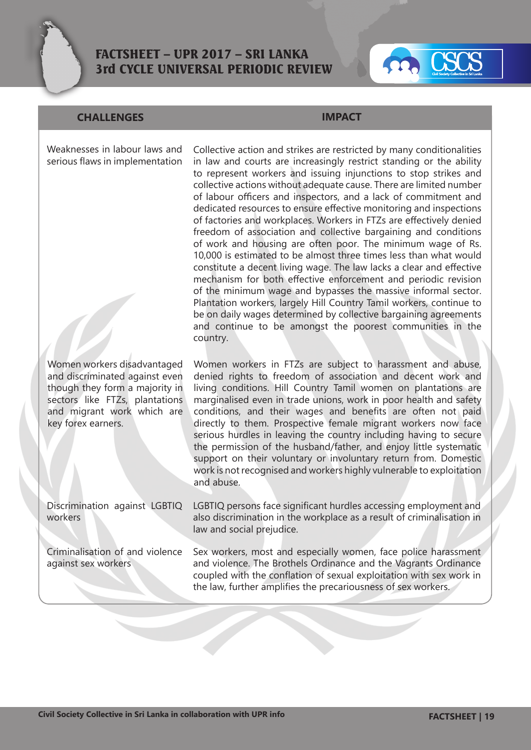

# FACTSHEET – UPR 2017 – SRI LANKA 3rd CYCLE UNIVERSAL PERIODIC REVIEW



### **CHALLENGES IMPACT**

Weaknesses in labour laws and serious flaws in implementation

Women workers disadvantaged and discriminated against even though they form a majority in sectors like FTZs, plantations and migrant work which are key forex earners.

Discrimination against LGBTIQ workers

Criminalisation of and violence against sex workers

Collective action and strikes are restricted by many conditionalities in law and courts are increasingly restrict standing or the ability to represent workers and issuing injunctions to stop strikes and collective actions without adequate cause. There are limited number of labour officers and inspectors, and a lack of commitment and dedicated resources to ensure effective monitoring and inspections of factories and workplaces. Workers in FTZs are effectively denied freedom of association and collective bargaining and conditions of work and housing are often poor. The minimum wage of Rs. 10,000 is estimated to be almost three times less than what would constitute a decent living wage. The law lacks a clear and effective mechanism for both effective enforcement and periodic revision of the minimum wage and bypasses the massive informal sector. Plantation workers, largely Hill Country Tamil workers, continue to be on daily wages determined by collective bargaining agreements and continue to be amongst the poorest communities in the country.

Women workers in FTZs are subject to harassment and abuse, denied rights to freedom of association and decent work and living conditions. Hill Country Tamil women on plantations are marginalised even in trade unions, work in poor health and safety conditions, and their wages and benefits are often not paid directly to them. Prospective female migrant workers now face serious hurdles in leaving the country including having to secure the permission of the husband/father, and enjoy little systematic support on their voluntary or involuntary return from. Domestic work is not recognised and workers highly vulnerable to exploitation and abuse.

LGBTIQ persons face significant hurdles accessing employment and also discrimination in the workplace as a result of criminalisation in law and social prejudice.

Sex workers, most and especially women, face police harassment and violence. The Brothels Ordinance and the Vagrants Ordinance coupled with the conflation of sexual exploitation with sex work in the law, further amplifies the precariousness of sex workers.